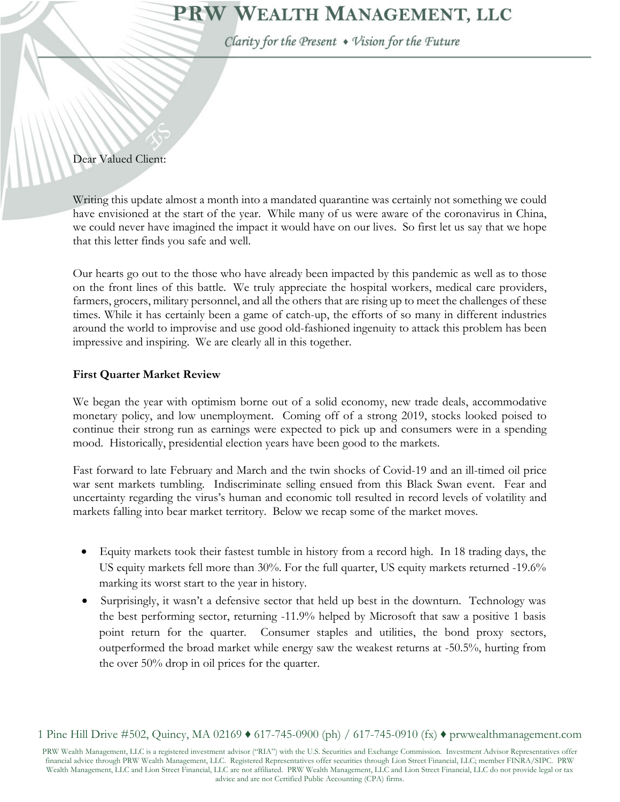# PRW WEALTH MANAGEMENT, LLC

Clarity for the Present • Vision for the Future

### Dear Valued Client:

Writing this update almost a month into a mandated quarantine was certainly not something we could have envisioned at the start of the year. While many of us were aware of the coronavirus in China, we could never have imagined the impact it would have on our lives. So first let us say that we hope that this letter finds you safe and well.

Our hearts go out to the those who have already been impacted by this pandemic as well as to those on the front lines of this battle. We truly appreciate the hospital workers, medical care providers, farmers, grocers, military personnel, and all the others that are rising up to meet the challenges of these times. While it has certainly been a game of catch-up, the efforts of so many in different industries around the world to improvise and use good old-fashioned ingenuity to attack this problem has been impressive and inspiring. We are clearly all in this together.

### **First Quarter Market Review**

We began the year with optimism borne out of a solid economy, new trade deals, accommodative monetary policy, and low unemployment. Coming off of a strong 2019, stocks looked poised to continue their strong run as earnings were expected to pick up and consumers were in a spending mood. Historically, presidential election years have been good to the markets.

Fast forward to late February and March and the twin shocks of Covid-19 and an ill-timed oil price war sent markets tumbling. Indiscriminate selling ensued from this Black Swan event. Fear and uncertainty regarding the virus's human and economic toll resulted in record levels of volatility and markets falling into bear market territory. Below we recap some of the market moves.

- Equity markets took their fastest tumble in history from a record high. In 18 trading days, the US equity markets fell more than 30%. For the full quarter, US equity markets returned -19.6% marking its worst start to the year in history.
- Surprisingly, it wasn't a defensive sector that held up best in the downturn. Technology was the best performing sector, returning -11.9% helped by Microsoft that saw a positive 1 basis point return for the quarter. Consumer staples and utilities, the bond proxy sectors, outperformed the broad market while energy saw the weakest returns at -50.5%, hurting from the over 50% drop in oil prices for the quarter.

PRW Wealth Management, LLC is a registered investment advisor ("RIA") with the U.S. Securities and Exchange Commission. Investment Advisor Representatives offer financial advice through PRW Wealth Management, LLC. Registered Representatives offer securities through Lion Street Financial, LLC; member FINRA/SIPC. PRW Wealth Management, LLC and Lion Street Financial, LLC are not affiliated. PRW Wealth Management, LLC and Lion Street Financial, LLC do not provide legal or tax advice and are not Certified Public Accounting (CPA) firms.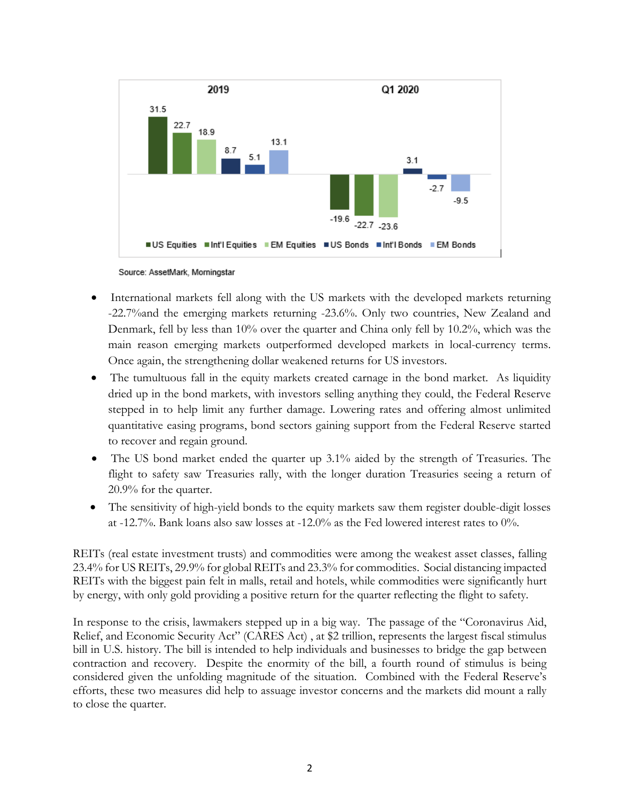

Source: AssetMark, Morningstar

- International markets fell along with the US markets with the developed markets returning -22.7%and the emerging markets returning -23.6%. Only two countries, New Zealand and Denmark, fell by less than 10% over the quarter and China only fell by 10.2%, which was the main reason emerging markets outperformed developed markets in local-currency terms. Once again, the strengthening dollar weakened returns for US investors.
- The tumultuous fall in the equity markets created carnage in the bond market. As liquidity dried up in the bond markets, with investors selling anything they could, the Federal Reserve stepped in to help limit any further damage. Lowering rates and offering almost unlimited quantitative easing programs, bond sectors gaining support from the Federal Reserve started to recover and regain ground.
- The US bond market ended the quarter up 3.1% aided by the strength of Treasuries. The flight to safety saw Treasuries rally, with the longer duration Treasuries seeing a return of 20.9% for the quarter.
- The sensitivity of high-yield bonds to the equity markets saw them register double-digit losses at -12.7%. Bank loans also saw losses at -12.0% as the Fed lowered interest rates to 0%.

REITs (real estate investment trusts) and commodities were among the weakest asset classes, falling 23.4% for US REITs, 29.9% for global REITs and 23.3% for commodities. Social distancing impacted REITs with the biggest pain felt in malls, retail and hotels, while commodities were significantly hurt by energy, with only gold providing a positive return for the quarter reflecting the flight to safety.

In response to the crisis, lawmakers stepped up in a big way. The passage of the "Coronavirus Aid, Relief, and Economic Security Act" (CARES Act) , at \$2 trillion, represents the largest fiscal stimulus bill in U.S. history. The bill is intended to help individuals and businesses to bridge the gap between contraction and recovery. Despite the enormity of the bill, a fourth round of stimulus is being considered given the unfolding magnitude of the situation. Combined with the Federal Reserve's efforts, these two measures did help to assuage investor concerns and the markets did mount a rally to close the quarter.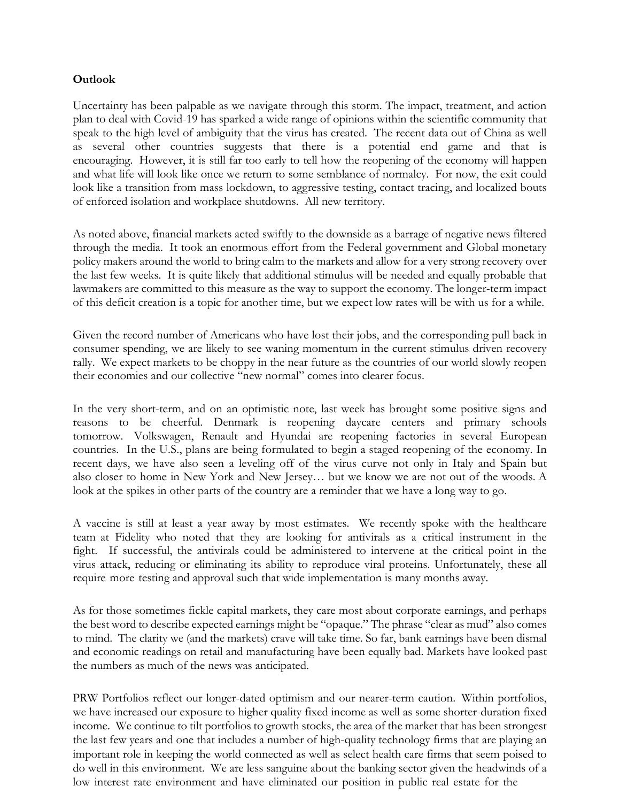## **Outlook**

Uncertainty has been palpable as we navigate through this storm. The impact, treatment, and action plan to deal with Covid-19 has sparked a wide range of opinions within the scientific community that speak to the high level of ambiguity that the virus has created. The recent data out of China as well as several other countries suggests that there is a potential end game and that is encouraging. However, it is still far too early to tell how the reopening of the economy will happen and what life will look like once we return to some semblance of normalcy. For now, the exit could look like a transition from mass lockdown, to aggressive testing, contact tracing, and localized bouts of enforced isolation and workplace shutdowns. All new territory.

As noted above, financial markets acted swiftly to the downside as a barrage of negative news filtered through the media. It took an enormous effort from the Federal government and Global monetary policy makers around the world to bring calm to the markets and allow for a very strong recovery over the last few weeks. It is quite likely that additional stimulus will be needed and equally probable that lawmakers are committed to this measure as the way to support the economy. The longer-term impact of this deficit creation is a topic for another time, but we expect low rates will be with us for a while.

Given the record number of Americans who have lost their jobs, and the corresponding pull back in consumer spending, we are likely to see waning momentum in the current stimulus driven recovery rally. We expect markets to be choppy in the near future as the countries of our world slowly reopen their economies and our collective "new normal" comes into clearer focus.

In the very short-term, and on an optimistic note, last week has brought some positive signs and reasons to be cheerful. Denmark is reopening daycare centers and primary schools tomorrow. Volkswagen, Renault and Hyundai are reopening factories in several European countries. In the U.S., plans are being formulated to begin a staged reopening of the economy. In recent days, we have also seen a leveling off of the virus curve not only in Italy and Spain but also closer to home in New York and New Jersey… but we know we are not out of the woods. A look at the spikes in other parts of the country are a reminder that we have a long way to go.

A vaccine is still at least a year away by most estimates. We recently spoke with the healthcare team at Fidelity who noted that they are looking for antivirals as a critical instrument in the fight. If successful, the antivirals could be administered to intervene at the critical point in the virus attack, reducing or eliminating its ability to reproduce viral proteins. Unfortunately, these all require more testing and approval such that wide implementation is many months away.

As for those sometimes fickle capital markets, they care most about corporate earnings, and perhaps the best word to describe expected earnings might be "opaque." The phrase "clear as mud" also comes to mind. The clarity we (and the markets) crave will take time. So far, bank earnings have been dismal and economic readings on retail and manufacturing have been equally bad. Markets have looked past the numbers as much of the news was anticipated.

PRW Portfolios reflect our longer-dated optimism and our nearer-term caution. Within portfolios, we have increased our exposure to higher quality fixed income as well as some shorter-duration fixed income. We continue to tilt portfolios to growth stocks, the area of the market that has been strongest the last few years and one that includes a number of high-quality technology firms that are playing an important role in keeping the world connected as well as select health care firms that seem poised to do well in this environment. We are less sanguine about the banking sector given the headwinds of a low interest rate environment and have eliminated our position in public real estate for the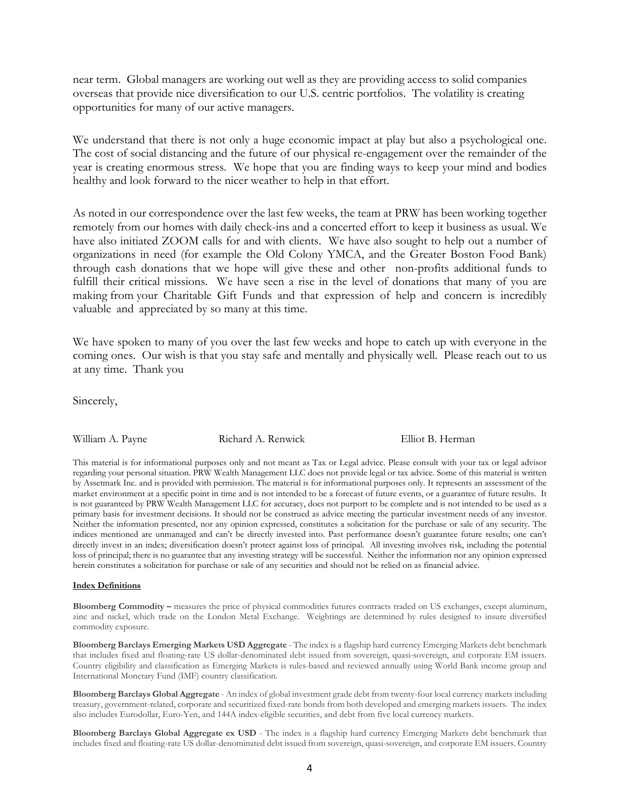near term. Global managers are working out well as they are providing access to solid companies overseas that provide nice diversification to our U.S. centric portfolios. The volatility is creating opportunities for many of our active managers.

We understand that there is not only a huge economic impact at play but also a psychological one. The cost of social distancing and the future of our physical re-engagement over the remainder of the year is creating enormous stress. We hope that you are finding ways to keep your mind and bodies healthy and look forward to the nicer weather to help in that effort.

As noted in our correspondence over the last few weeks, the team at PRW has been working together remotely from our homes with daily check-ins and a concerted effort to keep it business as usual. We have also initiated ZOOM calls for and with clients. We have also sought to help out a number of organizations in need (for example the Old Colony YMCA, and the Greater Boston Food Bank) through cash donations that we hope will give these and other non-profits additional funds to fulfill their critical missions. We have seen a rise in the level of donations that many of you are making from your Charitable Gift Funds and that expression of help and concern is incredibly valuable and appreciated by so many at this time.

We have spoken to many of you over the last few weeks and hope to catch up with everyone in the coming ones. Our wish is that you stay safe and mentally and physically well. Please reach out to us at any time. Thank you

Sincerely,

William A. Payne **Richard A. Renwick** Elliot B. Herman

This material is for informational purposes only and not meant as Tax or Legal advice. Please consult with your tax or legal advisor regarding your personal situation. PRW Wealth Management LLC does not provide legal or tax advice. Some of this material is written by Assetmark Inc. and is provided with permission. The material is for informational purposes only. It represents an assessment of the market environment at a specific point in time and is not intended to be a forecast of future events, or a guarantee of future results. It is not guaranteed by PRW Wealth Management LLC for accuracy, does not purport to be complete and is not intended to be used as a primary basis for investment decisions. It should not be construed as advice meeting the particular investment needs of any investor. Neither the information presented, nor any opinion expressed, constitutes a solicitation for the purchase or sale of any security. The indices mentioned are unmanaged and can't be directly invested into. Past performance doesn't guarantee future results; one can't directly invest in an index; diversification doesn't protect against loss of principal. All investing involves risk, including the potential loss of principal; there is no guarantee that any investing strategy will be successful. Neither the information nor any opinion expressed herein constitutes a solicitation for purchase or sale of any securities and should not be relied on as financial advice.

#### **Index Definitions**

**Bloomberg Commodity –** measures the price of physical commodities futures contracts traded on US exchanges, except aluminum, zinc and nickel, which trade on the London Metal Exchange. Weightings are determined by rules designed to insure diversified commodity exposure.

**Bloomberg Barclays Emerging Markets USD Aggregate** - The index is a flagship hard currency Emerging Markets debt benchmark that includes fixed and floating-rate US dollar-denominated debt issued from sovereign, quasi-sovereign, and corporate EM issuers. Country eligibility and classification as Emerging Markets is rules-based and reviewed annually using World Bank income group and International Monetary Fund (IMF) country classification.

**Bloomberg Barclays Global Aggregate** - An index of global investment grade debt from twenty-four local currency markets including treasury, government-related, corporate and securitized fixed-rate bonds from both developed and emerging markets issuers. The index also includes Eurodollar, Euro-Yen, and 144A index-eligible securities, and debt from five local currency markets.

**Bloomberg Barclays Global Aggregate ex USD** - The index is a flagship hard currency Emerging Markets debt benchmark that includes fixed and floating-rate US dollar-denominated debt issued from sovereign, quasi-sovereign, and corporate EM issuers. Country